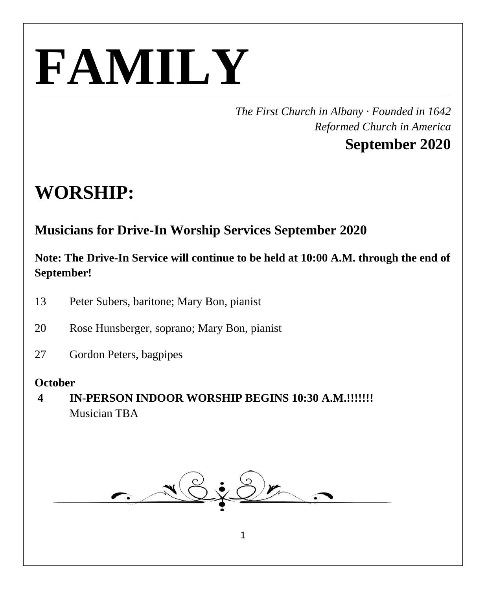# **FAMILY**

*The First Church in Albany · Founded in 1642 Reformed Church in America*

# **September 2020**

# **WORSHIP:**

# **Musicians for Drive-In Worship Services September 2020**

#### **Note: The Drive-In Service will continue to be held at 10:00 A.M. through the end of September!**

- 13 Peter Subers, baritone; Mary Bon, pianist
- 20 Rose Hunsberger, soprano; Mary Bon, pianist
- 27 Gordon Peters, bagpipes

#### **October**

**4 IN-PERSON INDOOR WORSHIP BEGINS 10:30 A.M.!!!!!!!** Musician TBA

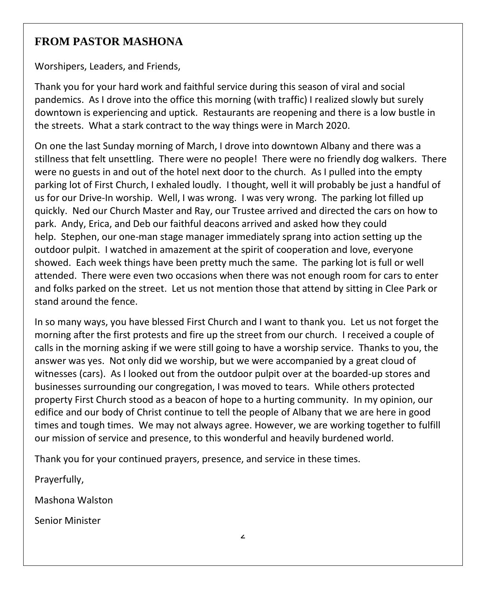#### **FROM PASTOR MASHONA**

Worshipers, Leaders, and Friends,

Thank you for your hard work and faithful service during this season of viral and social pandemics. As I drove into the office this morning (with traffic) I realized slowly but surely downtown is experiencing and uptick. Restaurants are reopening and there is a low bustle in the streets. What a stark contract to the way things were in March 2020.

On one the last Sunday morning of March, I drove into downtown Albany and there was a stillness that felt unsettling. There were no people! There were no friendly dog walkers. There were no guests in and out of the hotel next door to the church. As I pulled into the empty parking lot of First Church, I exhaled loudly. I thought, well it will probably be just a handful of us for our Drive-In worship. Well, I was wrong. I was very wrong. The parking lot filled up quickly. Ned our Church Master and Ray, our Trustee arrived and directed the cars on how to park. Andy, Erica, and Deb our faithful deacons arrived and asked how they could help. Stephen, our one-man stage manager immediately sprang into action setting up the outdoor pulpit. I watched in amazement at the spirit of cooperation and love, everyone showed. Each week things have been pretty much the same. The parking lot is full or well attended. There were even two occasions when there was not enough room for cars to enter and folks parked on the street. Let us not mention those that attend by sitting in Clee Park or stand around the fence.

In so many ways, you have blessed First Church and I want to thank you. Let us not forget the morning after the first protests and fire up the street from our church. I received a couple of calls in the morning asking if we were still going to have a worship service. Thanks to you, the answer was yes. Not only did we worship, but we were accompanied by a great cloud of witnesses (cars). As I looked out from the outdoor pulpit over at the boarded-up stores and businesses surrounding our congregation, I was moved to tears. While others protected property First Church stood as a beacon of hope to a hurting community. In my opinion, our edifice and our body of Christ continue to tell the people of Albany that we are here in good times and tough times. We may not always agree. However, we are working together to fulfill our mission of service and presence, to this wonderful and heavily burdened world.

Thank you for your continued prayers, presence, and service in these times.

Prayerfully,

Mashona Walston

Senior Minister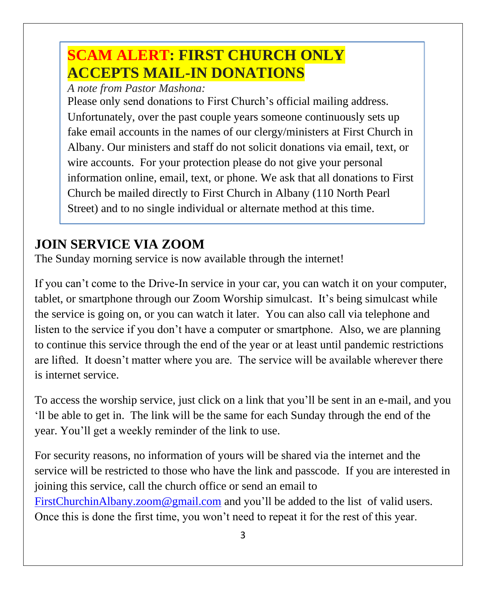# **SCAM ALERT: FIRST CHURCH ONLY ACCEPTS MAIL-IN DONATIONS**

*A note from Pastor Mashona:*

Please only send donations to First Church's official mailing address. Unfortunately, over the past couple years someone continuously sets up fake email accounts in the names of our clergy/ministers at First Church in Albany. Our ministers and staff do not solicit donations via email, text, or wire accounts. For your protection please do not give your personal information online, email, text, or phone. We ask that all donations to First Church be mailed directly to First Church in Albany (110 North Pearl Street) and to no single individual or alternate method at this time.

# **JOIN SERVICE VIA ZOOM**

The Sunday morning service is now available through the internet!

If you can't come to the Drive-In service in your car, you can watch it on your computer, tablet, or smartphone through our Zoom Worship simulcast. It's being simulcast while the service is going on, or you can watch it later. You can also call via telephone and listen to the service if you don't have a computer or smartphone. Also, we are planning to continue this service through the end of the year or at least until pandemic restrictions are lifted. It doesn't matter where you are. The service will be available wherever there is internet service.

To access the worship service, just click on a link that you'll be sent in an e-mail, and you 'll be able to get in. The link will be the same for each Sunday through the end of the year. You'll get a weekly reminder of the link to use.

For security reasons, no information of yours will be shared via the internet and the service will be restricted to those who have the link and passcode. If you are interested in joining this service, call the church office or send an email to [FirstChurchinAlbany.zoom@gmail.com](mailto:FirstChurchinAlbany.zoom@gmail.com) and you'll be added to the list of valid users. Once this is done the first time, you won't need to repeat it for the rest of this year.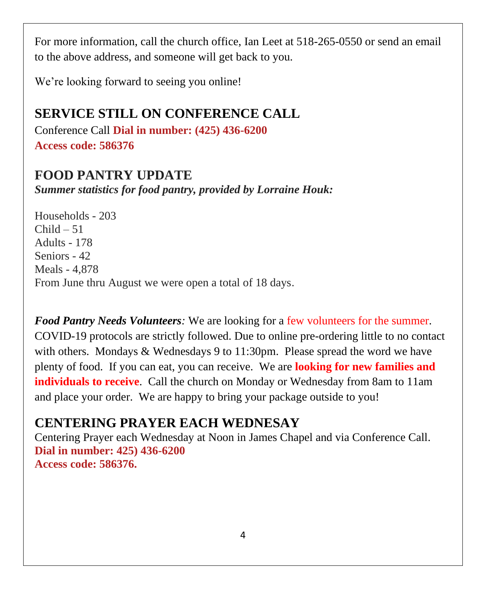For more information, call the church office, Ian Leet at 518-265-0550 or send an email to the above address, and someone will get back to you.

We're looking forward to seeing you online!

# **SERVICE STILL ON CONFERENCE CALL**

Conference Call **Dial in number: (425) 436-6200 Access code: 586376**

#### **FOOD PANTRY UPDATE**

*Summer statistics for food pantry, provided by Lorraine Houk:*

Households - 203  $Child - 51$ Adults - 178 Seniors - 42 Meals - 4,878 From June thru August we were open a total of 18 days.

*Food Pantry Needs Volunteers:* We are looking for a few volunteers for the summer. COVID-19 protocols are strictly followed. Due to online pre-ordering little to no contact with others. Mondays & Wednesdays 9 to 11:30pm. Please spread the word we have plenty of food. If you can eat, you can receive. We are **looking for new families and individuals to receive**. Call the church on Monday or Wednesday from 8am to 11am and place your order. We are happy to bring your package outside to you!

# **CENTERING PRAYER EACH WEDNESAY**

Centering Prayer each Wednesday at Noon in James Chapel and via Conference Call. **Dial in number: 425) 436-6200 Access code: 586376.**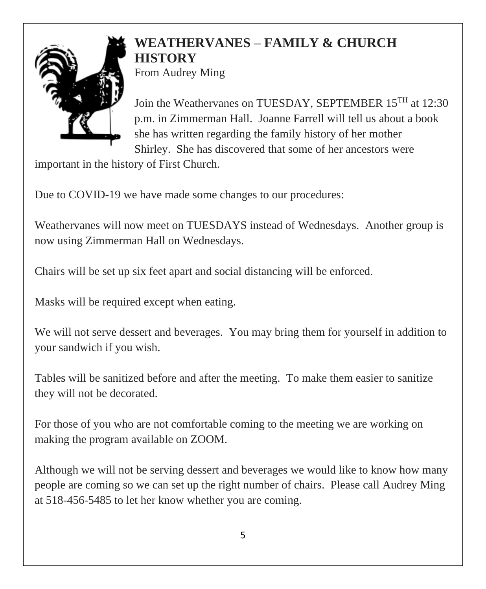### **WEATHERVANES – FAMILY & CHURCH HISTORY** From Audrey Ming



Join the Weathervanes on TUESDAY, SEPTEMBER 15TH at 12:30 p.m. in Zimmerman Hall. Joanne Farrell will tell us about a book she has written regarding the family history of her mother Shirley. She has discovered that some of her ancestors were

important in the history of First Church.

Due to COVID-19 we have made some changes to our procedures:

Weathervanes will now meet on TUESDAYS instead of Wednesdays. Another group is now using Zimmerman Hall on Wednesdays.

Chairs will be set up six feet apart and social distancing will be enforced.

Masks will be required except when eating.

We will not serve dessert and beverages. You may bring them for yourself in addition to your sandwich if you wish.

Tables will be sanitized before and after the meeting. To make them easier to sanitize they will not be decorated.

For those of you who are not comfortable coming to the meeting we are working on making the program available on ZOOM.

Although we will not be serving dessert and beverages we would like to know how many people are coming so we can set up the right number of chairs. Please call Audrey Ming at 518-456-5485 to let her know whether you are coming.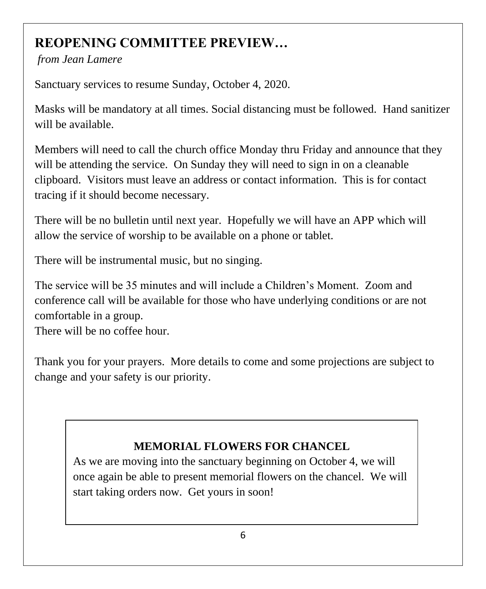# **REOPENING COMMITTEE PREVIEW…**

*from Jean Lamere*

Sanctuary services to resume Sunday, October 4, 2020.

Masks will be mandatory at all times. Social distancing must be followed. Hand sanitizer will be available.

Members will need to call the church office Monday thru Friday and announce that they will be attending the service. On Sunday they will need to sign in on a cleanable clipboard. Visitors must leave an address or contact information. This is for contact tracing if it should become necessary.

There will be no bulletin until next year. Hopefully we will have an APP which will allow the service of worship to be available on a phone or tablet.

There will be instrumental music, but no singing.

The service will be 35 minutes and will include a Children's Moment. Zoom and conference call will be available for those who have underlying conditions or are not comfortable in a group.

There will be no coffee hour.

Thank you for your prayers. More details to come and some projections are subject to change and your safety is our priority.

# **MEMORIAL FLOWERS FOR CHANCEL**

As we are moving into the sanctuary beginning on October 4, we will once again be able to present memorial flowers on the chancel. We will start taking orders now. Get yours in soon!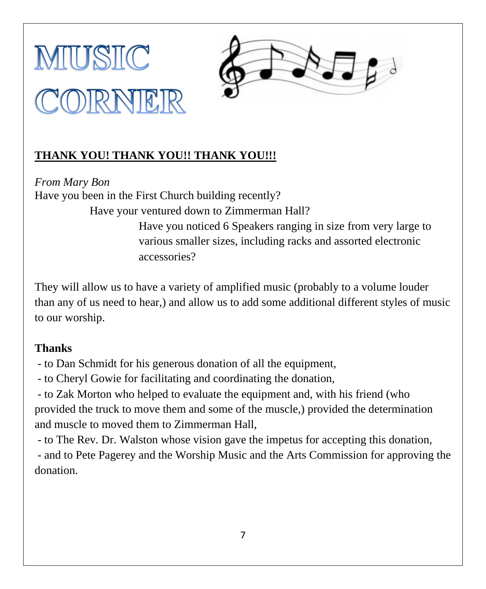



#### **THANK YOU! THANK YOU!! THANK YOU!!!**

*From Mary Bon* Have you been in the First Church building recently? Have your ventured down to Zimmerman Hall? Have you noticed 6 Speakers ranging in size from very large to various smaller sizes, including racks and assorted electronic accessories?

They will allow us to have a variety of amplified music (probably to a volume louder than any of us need to hear,) and allow us to add some additional different styles of music to our worship.

#### **Thanks**

- to Dan Schmidt for his generous donation of all the equipment,

- to Cheryl Gowie for facilitating and coordinating the donation,

- to Zak Morton who helped to evaluate the equipment and, with his friend (who provided the truck to move them and some of the muscle,) provided the determination and muscle to moved them to Zimmerman Hall,

- to The Rev. Dr. Walston whose vision gave the impetus for accepting this donation,

- and to Pete Pagerey and the Worship Music and the Arts Commission for approving the donation.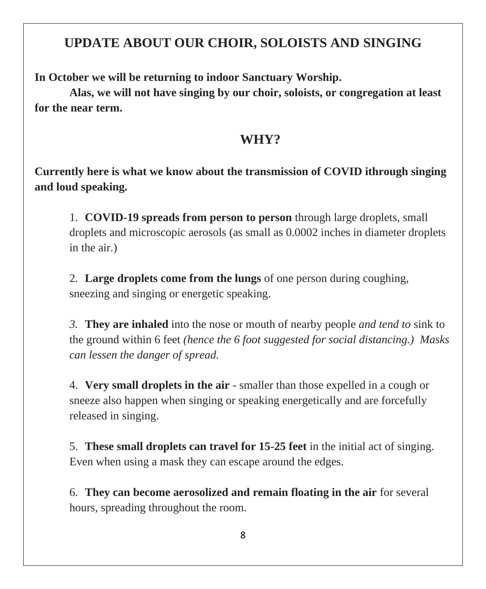# **UPDATE ABOUT OUR CHOIR, SOLOISTS AND SINGING**

**In October we will be returning to indoor Sanctuary Worship.**

**Alas, we will not have singing by our choir, soloists, or congregation at least for the near term.**

#### **WHY?**

**Currently here is what we know about the transmission of COVID ithrough singing and loud speaking.**

1. **COVID-19 spreads from person to person** through large droplets, small droplets and microscopic aerosols (as small as 0.0002 inches in diameter droplets in the air.)

2. **Large droplets come from the lungs** of one person during coughing, sneezing and singing or energetic speaking.

*3.* **They are inhaled** into the nose or mouth of nearby people *and tend to* sink to the ground within 6 feet *(hence the 6 foot suggested for social distancing.) Masks can lessen the danger of spread.*

4. **Very small droplets in the air** - smaller than those expelled in a cough or sneeze also happen when singing or speaking energetically and are forcefully released in singing.

5. **These small droplets can travel for 15-25 feet** in the initial act of singing. Even when using a mask they can escape around the edges.

6. **They can become aerosolized and remain floating in the air** for several hours, spreading throughout the room.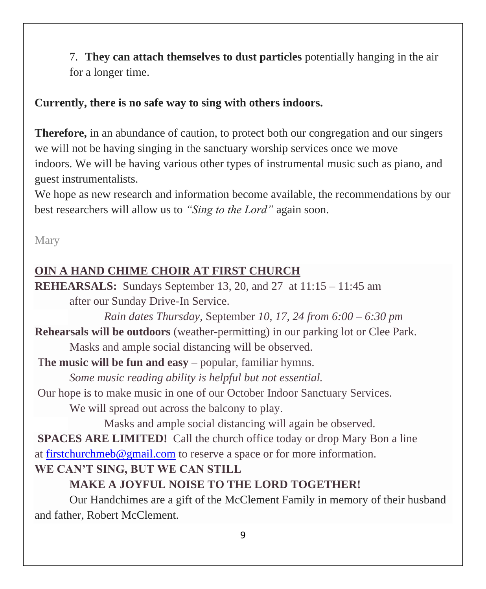7. **They can attach themselves to dust particles** potentially hanging in the air for a longer time.

#### **Currently, there is no safe way to sing with others indoors.**

**Therefore,** in an abundance of caution, to protect both our congregation and our singers we will not be having singing in the sanctuary worship services once we move indoors. We will be having various other types of instrumental music such as piano, and guest instrumentalists.

We hope as new research and information become available, the recommendations by our best researchers will allow us to *"Sing to the Lord"* again soon.

Mary

# **OIN A HAND CHIME CHOIR AT FIRST CHURCH**

**REHEARSALS:** Sundays September 13, 20, and 27 at 11:15 – 11:45 am after our Sunday Drive-In Service.

*Rain dates Thursday,* September *10, 17, 24 from 6:00 – 6:30 pm*

**Rehearsals will be outdoors** (weather-permitting) in our parking lot or Clee Park. Masks and ample social distancing will be observed.

T**he music will be fun and easy** – popular, familiar hymns.

*Some music reading ability is helpful but not essential.*

Our hope is to make music in one of our October Indoor Sanctuary Services.

We will spread out across the balcony to play.

Masks and ample social distancing will again be observed.

**SPACES ARE LIMITED!** Call the church office today or drop Mary Bon a line at [firstchurchmeb@gmail.com](mailto:firstchurchmeb@gmail.com) to reserve a space or for more information.

# **WE CAN'T SING, BUT WE CAN STILL**

# **MAKE A JOYFUL NOISE TO THE LORD TOGETHER!**

Our Handchimes are a gift of the McClement Family in memory of their husband and father, Robert McClement.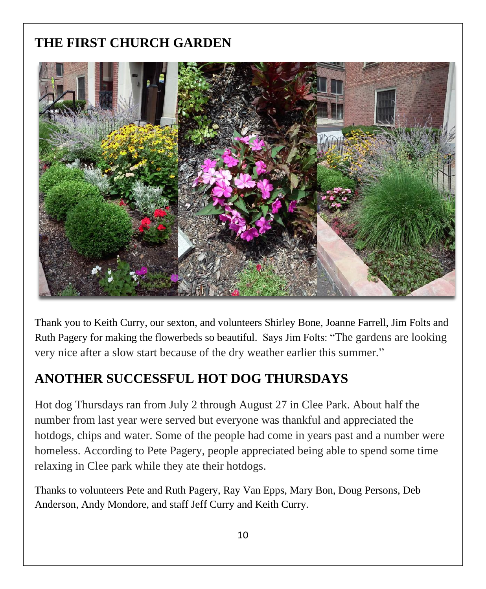# **THE FIRST CHURCH GARDEN**



Thank you to Keith Curry, our sexton, and volunteers Shirley Bone, Joanne Farrell, Jim Folts and Ruth Pagery for making the flowerbeds so beautiful. Says Jim Folts: "The gardens are looking very nice after a slow start because of the dry weather earlier this summer."

# **ANOTHER SUCCESSFUL HOT DOG THURSDAYS**

Hot dog Thursdays ran from July 2 through August 27 in Clee Park. About half the number from last year were served but everyone was thankful and appreciated the hotdogs, chips and water. Some of the people had come in years past and a number were homeless. According to Pete Pagery, people appreciated being able to spend some time relaxing in Clee park while they ate their hotdogs.

Thanks to volunteers Pete and Ruth Pagery, Ray Van Epps, Mary Bon, Doug Persons, Deb Anderson, Andy Mondore, and staff Jeff Curry and Keith Curry.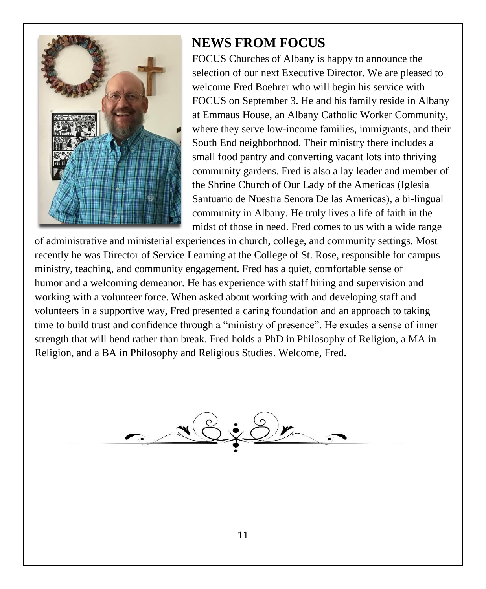

# **NEWS FROM FOCUS**

FOCUS Churches of Albany is happy to announce the selection of our next Executive Director. We are pleased to welcome Fred Boehrer who will begin his service with FOCUS on September 3. He and his family reside in Albany at Emmaus House, an Albany Catholic Worker Community, where they serve low-income families, immigrants, and their South End neighborhood. Their ministry there includes a small food pantry and converting vacant lots into thriving community gardens. Fred is also a lay leader and member of the Shrine Church of Our Lady of the Americas (Iglesia Santuario de Nuestra Senora De las Americas), a bi-lingual community in Albany. He truly lives a life of faith in the midst of those in need. Fred comes to us with a wide range

of administrative and ministerial experiences in church, college, and community settings. Most recently he was Director of Service Learning at the College of St. Rose, responsible for campus ministry, teaching, and community engagement. Fred has a quiet, comfortable sense of humor and a welcoming demeanor. He has experience with staff hiring and supervision and working with a volunteer force. When asked about working with and developing staff and volunteers in a supportive way, Fred presented a caring foundation and an approach to taking time to build trust and confidence through a "ministry of presence". He exudes a sense of inner strength that will bend rather than break. Fred holds a PhD in Philosophy of Religion, a MA in Religion, and a BA in Philosophy and Religious Studies. Welcome, Fred.